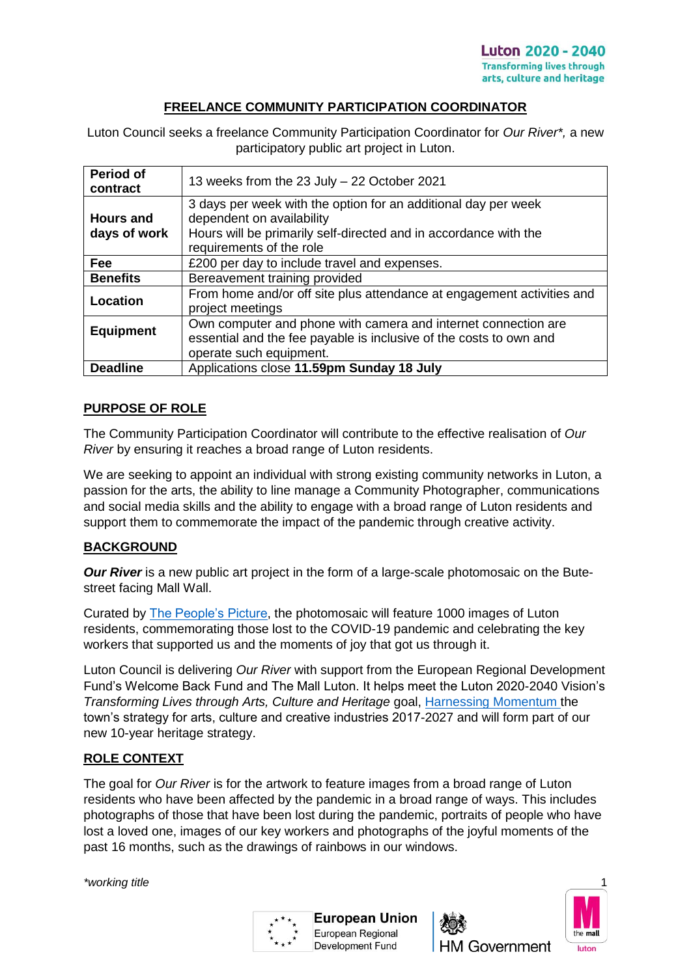### **FREELANCE COMMUNITY PARTICIPATION COORDINATOR**

Luton Council seeks a freelance Community Participation Coordinator for *Our River\*,* a new participatory public art project in Luton.

| <b>Period of</b><br>contract     | 13 weeks from the 23 July - 22 October 2021                                                                                                                                                 |  |
|----------------------------------|---------------------------------------------------------------------------------------------------------------------------------------------------------------------------------------------|--|
| <b>Hours and</b><br>days of work | 3 days per week with the option for an additional day per week<br>dependent on availability<br>Hours will be primarily self-directed and in accordance with the<br>requirements of the role |  |
| Fee                              | £200 per day to include travel and expenses.                                                                                                                                                |  |
| <b>Benefits</b>                  | Bereavement training provided                                                                                                                                                               |  |
| Location                         | From home and/or off site plus attendance at engagement activities and<br>project meetings                                                                                                  |  |
| <b>Equipment</b>                 | Own computer and phone with camera and internet connection are<br>essential and the fee payable is inclusive of the costs to own and<br>operate such equipment.                             |  |
| <b>Deadline</b>                  | Applications close 11.59pm Sunday 18 July                                                                                                                                                   |  |

## **PURPOSE OF ROLE**

The Community Participation Coordinator will contribute to the effective realisation of *Our River* by ensuring it reaches a broad range of Luton residents.

We are seeking to appoint an individual with strong existing community networks in Luton, a passion for the arts, the ability to line manage a Community Photographer, communications and social media skills and the ability to engage with a broad range of Luton residents and support them to commemorate the impact of the pandemic through creative activity.

### **BACKGROUND**

*Our River* is a new public art project in the form of a large-scale photomosaic on the Butestreet facing Mall Wall.

Curated by [The People's Picture,](https://thepeoplespicture.com/) the photomosaic will feature 1000 images of Luton residents, commemorating those lost to the COVID-19 pandemic and celebrating the key workers that supported us and the moments of joy that got us through it.

Luton Council is delivering *Our River* with support from the European Regional Development Fund's Welcome Back Fund and The Mall Luton. It helps meet the Luton 2020-2040 Vision's *Transforming Lives through Arts, Culture and Heritage* goal, [Harnessing Momentum](https://www.luton.gov.uk/Leisure_and_culture/Lists/LutonDocuments/PDF/Arts%20and%20cultural/harnessing-momentum.pdf) the town's strategy for arts, culture and creative industries 2017-2027 and will form part of our new 10-year heritage strategy.

### **ROLE CONTEXT**

*\*working title* 1

The goal for *Our River* is for the artwork to feature images from a broad range of Luton residents who have been affected by the pandemic in a broad range of ways. This includes photographs of those that have been lost during the pandemic, portraits of people who have lost a loved one, images of our key workers and photographs of the joyful moments of the past 16 months, such as the drawings of rainbows in our windows.





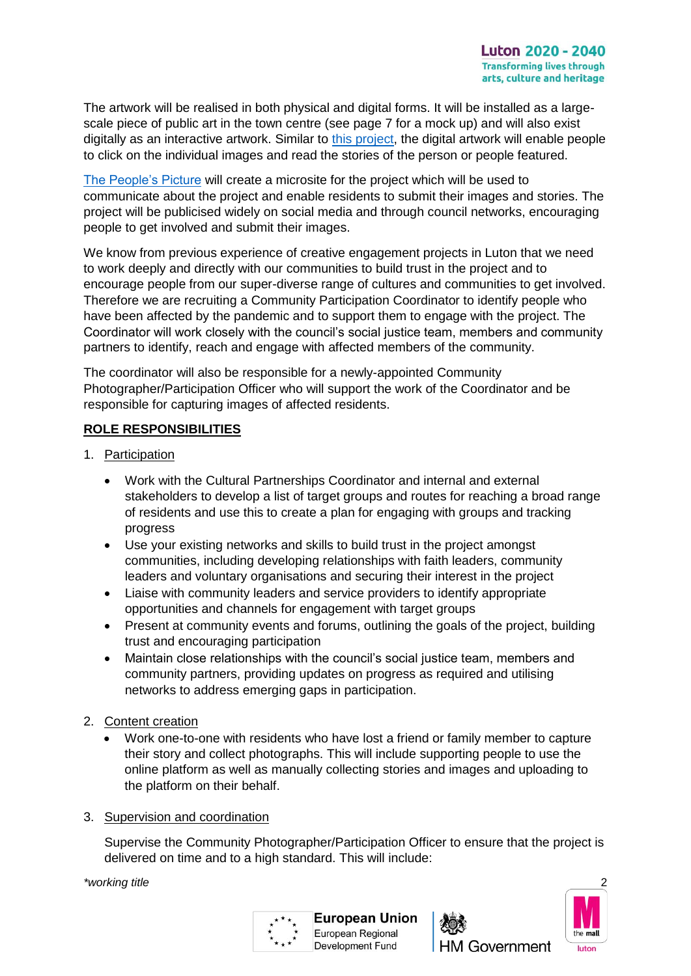The artwork will be realised in both physical and digital forms. It will be installed as a largescale piece of public art in the town centre (see page 7 for a mock up) and will also exist digitally as an interactive artwork. Similar to [this project,](https://thepeoplespicture.com/rainbows-for-the-nhs/) the digital artwork will enable people to click on the individual images and read the stories of the person or people featured.

[The People's Picture](https://thepeoplespicture.com/) will create a microsite for the project which will be used to communicate about the project and enable residents to submit their images and stories. The project will be publicised widely on social media and through council networks, encouraging people to get involved and submit their images.

We know from previous experience of creative engagement projects in Luton that we need to work deeply and directly with our communities to build trust in the project and to encourage people from our super-diverse range of cultures and communities to get involved. Therefore we are recruiting a Community Participation Coordinator to identify people who have been affected by the pandemic and to support them to engage with the project. The Coordinator will work closely with the council's social justice team, members and community partners to identify, reach and engage with affected members of the community.

The coordinator will also be responsible for a newly-appointed Community Photographer/Participation Officer who will support the work of the Coordinator and be responsible for capturing images of affected residents.

## **ROLE RESPONSIBILITIES**

- 1. Participation
	- Work with the Cultural Partnerships Coordinator and internal and external stakeholders to develop a list of target groups and routes for reaching a broad range of residents and use this to create a plan for engaging with groups and tracking progress
	- Use your existing networks and skills to build trust in the project amongst communities, including developing relationships with faith leaders, community leaders and voluntary organisations and securing their interest in the project
	- Liaise with community leaders and service providers to identify appropriate opportunities and channels for engagement with target groups
	- Present at community events and forums, outlining the goals of the project, building trust and encouraging participation
	- Maintain close relationships with the council's social justice team, members and community partners, providing updates on progress as required and utilising networks to address emerging gaps in participation.
- 2. Content creation
	- Work one-to-one with residents who have lost a friend or family member to capture their story and collect photographs. This will include supporting people to use the online platform as well as manually collecting stories and images and uploading to the platform on their behalf.
- 3. Supervision and coordination

Supervise the Community Photographer/Participation Officer to ensure that the project is delivered on time and to a high standard. This will include:

*\*working title* 2





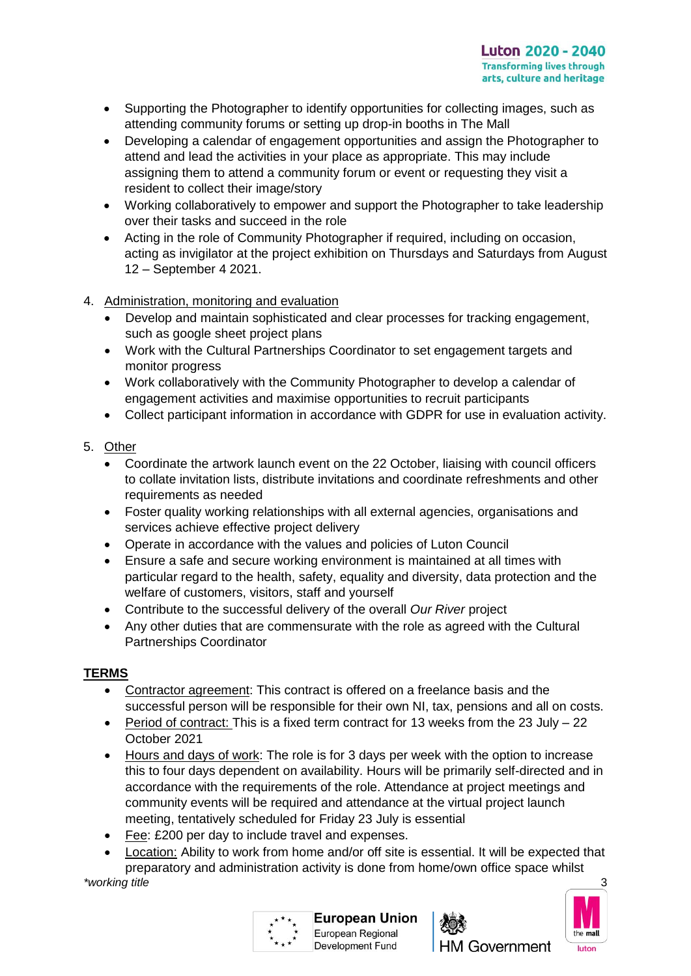- Supporting the Photographer to identify opportunities for collecting images, such as attending community forums or setting up drop-in booths in The Mall
- Developing a calendar of engagement opportunities and assign the Photographer to attend and lead the activities in your place as appropriate. This may include assigning them to attend a community forum or event or requesting they visit a resident to collect their image/story
- Working collaboratively to empower and support the Photographer to take leadership over their tasks and succeed in the role
- Acting in the role of Community Photographer if required, including on occasion, acting as invigilator at the project exhibition on Thursdays and Saturdays from August 12 – September 4 2021.
- 4. Administration, monitoring and evaluation
	- Develop and maintain sophisticated and clear processes for tracking engagement, such as google sheet project plans
	- Work with the Cultural Partnerships Coordinator to set engagement targets and monitor progress
	- Work collaboratively with the Community Photographer to develop a calendar of engagement activities and maximise opportunities to recruit participants
	- Collect participant information in accordance with GDPR for use in evaluation activity.
- 5. Other
	- Coordinate the artwork launch event on the 22 October, liaising with council officers to collate invitation lists, distribute invitations and coordinate refreshments and other requirements as needed
	- Foster quality working relationships with all external agencies, organisations and services achieve effective project delivery
	- Operate in accordance with the values and policies of Luton Council
	- Ensure a safe and secure working environment is maintained at all times with particular regard to the health, safety, equality and diversity, data protection and the welfare of customers, visitors, staff and yourself
	- Contribute to the successful delivery of the overall *Our River* project
	- Any other duties that are commensurate with the role as agreed with the Cultural Partnerships Coordinator

### **TERMS**

- Contractor agreement: This contract is offered on a freelance basis and the successful person will be responsible for their own NI, tax, pensions and all on costs.
- **•** Period of contract: This is a fixed term contract for 13 weeks from the 23 July  $-22$ October 2021
- Hours and days of work: The role is for 3 days per week with the option to increase this to four days dependent on availability. Hours will be primarily self-directed and in accordance with the requirements of the role. Attendance at project meetings and community events will be required and attendance at the virtual project launch meeting, tentatively scheduled for Friday 23 July is essential
- Fee: £200 per day to include travel and expenses.
- *\*working title* 3 Location: Ability to work from home and/or off site is essential. It will be expected that preparatory and administration activity is done from home/own office space whilst

**Development Fund** 





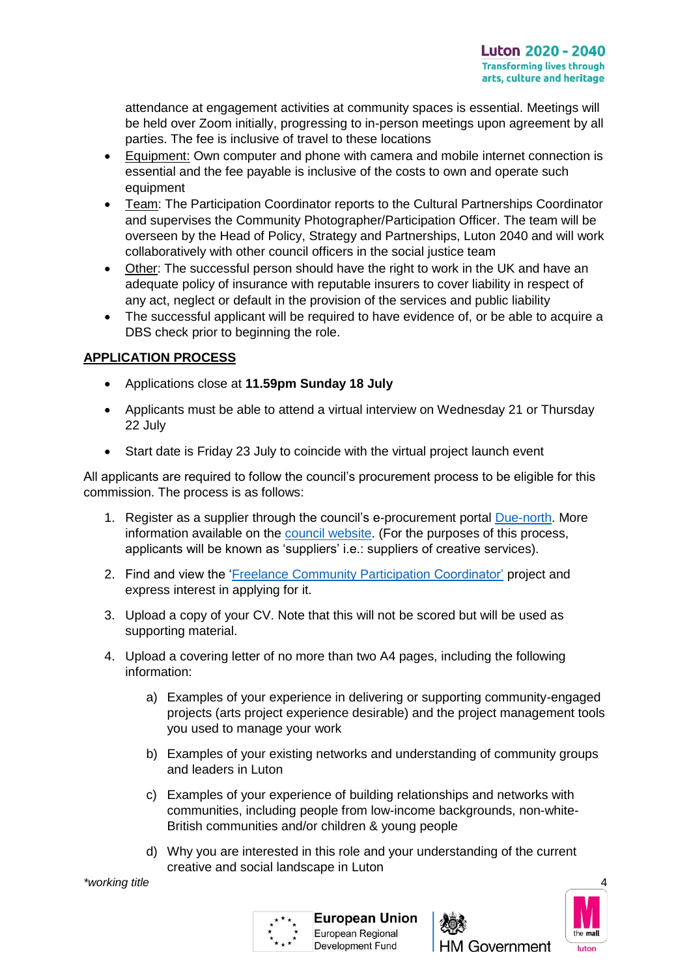attendance at engagement activities at community spaces is essential. Meetings will be held over Zoom initially, progressing to in-person meetings upon agreement by all parties. The fee is inclusive of travel to these locations

- Equipment: Own computer and phone with camera and mobile internet connection is essential and the fee payable is inclusive of the costs to own and operate such equipment
- Team: The Participation Coordinator reports to the Cultural Partnerships Coordinator and supervises the Community Photographer/Participation Officer. The team will be overseen by the Head of Policy, Strategy and Partnerships, Luton 2040 and will work collaboratively with other council officers in the social justice team
- Other: The successful person should have the right to work in the UK and have an adequate policy of insurance with reputable insurers to cover liability in respect of any act, neglect or default in the provision of the services and public liability
- The successful applicant will be required to have evidence of, or be able to acquire a DBS check prior to beginning the role.

# **APPLICATION PROCESS**

- Applications close at **11.59pm Sunday 18 July**
- Applicants must be able to attend a virtual interview on Wednesday 21 or Thursday 22 July
- Start date is Friday 23 July to coincide with the virtual project launch event

All applicants are required to follow the council's procurement process to be eligible for this commission. The process is as follows:

- 1. Register as a supplier through the council's e-procurement portal [Due-north.](https://procontract.due-north.com/Register) More information available on the [council website.](https://www.luton.gov.uk/Business/Doing%20business%20with%20the%20council/Pages/Procurement-e-tendering-portal.aspx) (For the purposes of this process, applicants will be known as 'suppliers' i.e.: suppliers of creative services).
- 2. Find and view the '*Freelance Community Participation Coordinator'* project and express interest in applying for it.
- 3. Upload a copy of your CV. Note that this will not be scored but will be used as supporting material.
- 4. Upload a covering letter of no more than two A4 pages, including the following information:
	- a) Examples of your experience in delivering or supporting community-engaged projects (arts project experience desirable) and the project management tools you used to manage your work
	- b) Examples of your existing networks and understanding of community groups and leaders in Luton
	- c) Examples of your experience of building relationships and networks with communities, including people from low-income backgrounds, non-white-British communities and/or children & young people
	- d) Why you are interested in this role and your understanding of the current creative and social landscape in Luton

*\*working title* 4





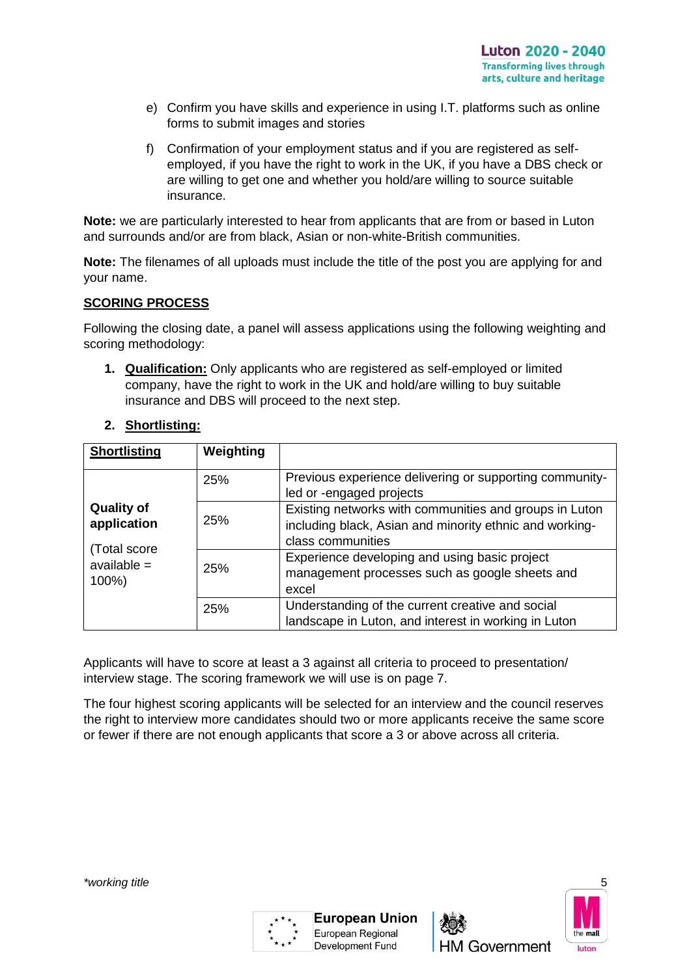- e) Confirm you have skills and experience in using I.T. platforms such as online forms to submit images and stories
- f) Confirmation of your employment status and if you are registered as selfemployed, if you have the right to work in the UK, if you have a DBS check or are willing to get one and whether you hold/are willing to source suitable insurance.

**Note:** we are particularly interested to hear from applicants that are from or based in Luton and surrounds and/or are from black, Asian or non-white-British communities.

**Note:** The filenames of all uploads must include the title of the post you are applying for and your name.

### **SCORING PROCESS**

Following the closing date, a panel will assess applications using the following weighting and scoring methodology:

**1. Qualification:** Only applicants who are registered as self-employed or limited company, have the right to work in the UK and hold/are willing to buy suitable insurance and DBS will proceed to the next step.

| 2. | <b>Shortlisting:</b> |
|----|----------------------|
|----|----------------------|

| <b>Shortlisting</b>                                                        | Weighting |                                                                                                                                        |
|----------------------------------------------------------------------------|-----------|----------------------------------------------------------------------------------------------------------------------------------------|
|                                                                            | 25%       | Previous experience delivering or supporting community-<br>led or -engaged projects                                                    |
| <b>Quality of</b><br>application<br>(Total score<br>$available =$<br>100%) | 25%       | Existing networks with communities and groups in Luton<br>including black, Asian and minority ethnic and working-<br>class communities |
|                                                                            | 25%       | Experience developing and using basic project<br>management processes such as google sheets and<br>excel                               |
|                                                                            | 25%       | Understanding of the current creative and social<br>landscape in Luton, and interest in working in Luton                               |

Applicants will have to score at least a 3 against all criteria to proceed to presentation/ interview stage. The scoring framework we will use is on page 7.

The four highest scoring applicants will be selected for an interview and the council reserves the right to interview more candidates should two or more applicants receive the same score or fewer if there are not enough applicants that score a 3 or above across all criteria.





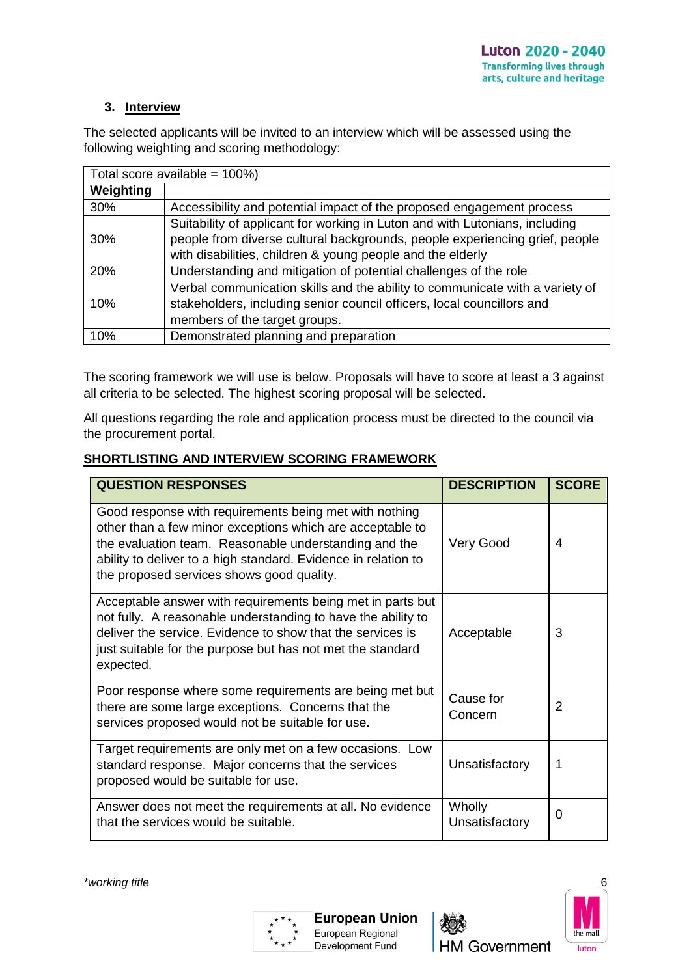### **3. Interview**

The selected applicants will be invited to an interview which will be assessed using the following weighting and scoring methodology:

| Total score available = $100\%$ ) |                                                                              |  |  |  |
|-----------------------------------|------------------------------------------------------------------------------|--|--|--|
| Weighting                         |                                                                              |  |  |  |
| 30%                               | Accessibility and potential impact of the proposed engagement process        |  |  |  |
| 30%                               | Suitability of applicant for working in Luton and with Lutonians, including  |  |  |  |
|                                   | people from diverse cultural backgrounds, people experiencing grief, people  |  |  |  |
|                                   | with disabilities, children & young people and the elderly                   |  |  |  |
| 20%                               | Understanding and mitigation of potential challenges of the role             |  |  |  |
|                                   | Verbal communication skills and the ability to communicate with a variety of |  |  |  |
| 10%                               | stakeholders, including senior council officers, local councillors and       |  |  |  |
|                                   | members of the target groups.                                                |  |  |  |
| 10%                               | Demonstrated planning and preparation                                        |  |  |  |

The scoring framework we will use is below. Proposals will have to score at least a 3 against all criteria to be selected. The highest scoring proposal will be selected.

All questions regarding the role and application process must be directed to the council via the procurement portal.

### **SHORTLISTING AND INTERVIEW SCORING FRAMEWORK**

| <b>QUESTION RESPONSES</b>                                                                                                                                                                                                                                                                   | <b>DESCRIPTION</b>       | <b>SCORE</b>  |
|---------------------------------------------------------------------------------------------------------------------------------------------------------------------------------------------------------------------------------------------------------------------------------------------|--------------------------|---------------|
| Good response with requirements being met with nothing<br>other than a few minor exceptions which are acceptable to<br>the evaluation team. Reasonable understanding and the<br>ability to deliver to a high standard. Evidence in relation to<br>the proposed services shows good quality. | Very Good                | 4             |
| Acceptable answer with requirements being met in parts but<br>not fully. A reasonable understanding to have the ability to<br>deliver the service. Evidence to show that the services is<br>just suitable for the purpose but has not met the standard<br>expected.                         | Acceptable               | 3             |
| Poor response where some requirements are being met but<br>there are some large exceptions. Concerns that the<br>services proposed would not be suitable for use.                                                                                                                           | Cause for<br>Concern     | $\mathcal{P}$ |
| Target requirements are only met on a few occasions. Low<br>standard response. Major concerns that the services<br>proposed would be suitable for use.                                                                                                                                      | Unsatisfactory           | 1             |
| Answer does not meet the requirements at all. No evidence<br>that the services would be suitable.                                                                                                                                                                                           | Wholly<br>Unsatisfactory | 0             |